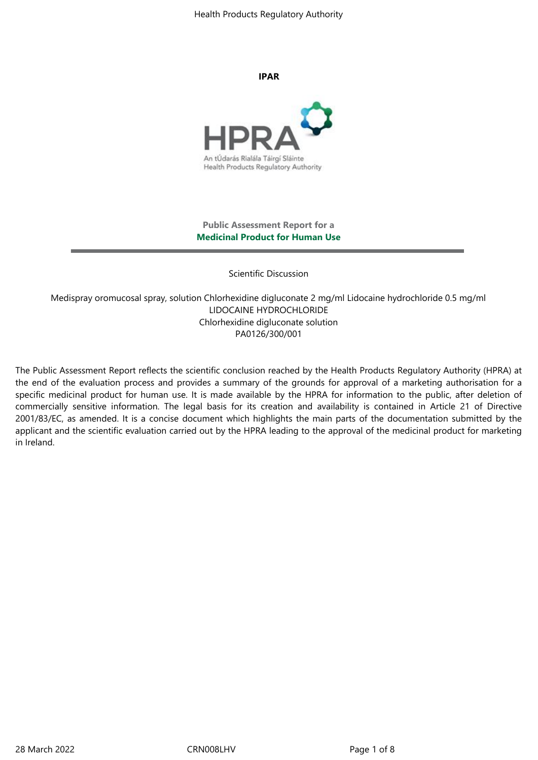Health Products Regulatory Authority

#### **IPAR**



### **Public Assessment Report for a Medicinal Product for Human Use**

Scientific Discussion

Medispray oromucosal spray, solution Chlorhexidine digluconate 2 mg/ml Lidocaine hydrochloride 0.5 mg/ml LIDOCAINE HYDROCHLORIDE Chlorhexidine digluconate solution PA0126/300/001

The Public Assessment Report reflects the scientific conclusion reached by the Health Products Regulatory Authority (HPRA) at the end of the evaluation process and provides a summary of the grounds for approval of a marketing authorisation for a specific medicinal product for human use. It is made available by the HPRA for information to the public, after deletion of commercially sensitive information. The legal basis for its creation and availability is contained in Article 21 of Directive 2001/83/EC, as amended. It is a concise document which highlights the main parts of the documentation submitted by the applicant and the scientific evaluation carried out by the HPRA leading to the approval of the medicinal product for marketing in Ireland.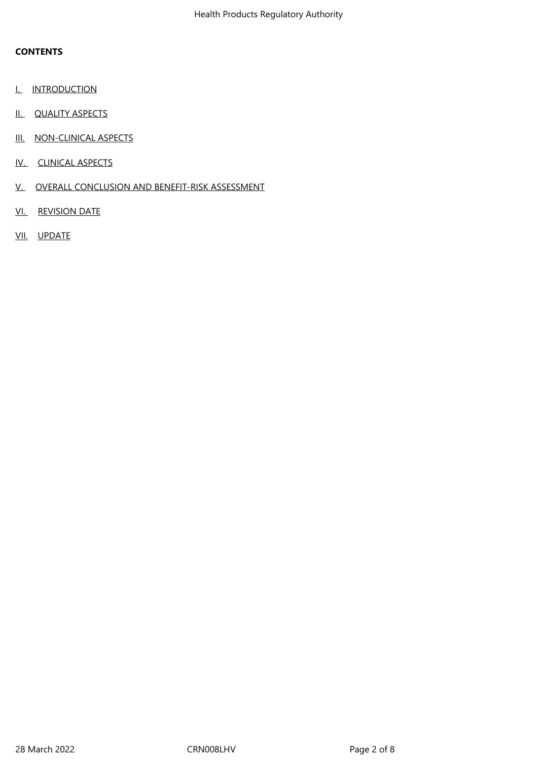## **CONTENTS**

- **I.** INTRODUCTION
- II. QUALITY ASPECTS
- III. NON-CLINICAL ASPECTS
- IV. CLINICAL ASPECTS
- V. OVERALL CONCLUSION AND BENEFIT-RISK ASSESSMENT
- VI. REVISION DATE
- VII. UPDATE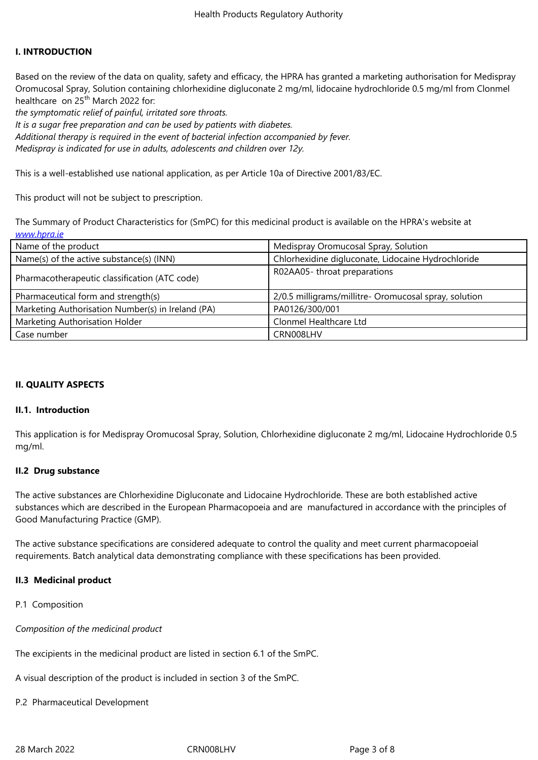#### **I. INTRODUCTION**

Based on the review of the data on quality, safety and efficacy, the HPRA has granted a marketing authorisation for Medispray Oromucosal Spray, Solution containing chlorhexidine digluconate 2 mg/ml, lidocaine hydrochloride 0.5 mg/ml from Clonmel healthcare on 25<sup>th</sup> March 2022 for:

*the symptomatic relief of painful, irritated sore throats.*

*It is a sugar free preparation and can be used by patients with diabetes.*

*Additional therapy is required in the event of bacterial infection accompanied by fever.*

*Medispray is indicated for use in adults, adolescents and children over 12y.*

This is a well-established use national application, as per Article 10a of Directive 2001/83/EC.

This product will not be subject to prescription.

The Summary of Product Characteristics for (SmPC) for this medicinal product is available on the HPRA's website at *www.hpra.ie*

| Name of the product                               | Medispray Oromucosal Spray, Solution                  |
|---------------------------------------------------|-------------------------------------------------------|
| Name(s) of the active substance(s) (INN)          | Chlorhexidine digluconate, Lidocaine Hydrochloride    |
| Pharmacotherapeutic classification (ATC code)     | R02AA05-throat preparations                           |
| Pharmaceutical form and strength(s)               | 2/0.5 milligrams/millitre- Oromucosal spray, solution |
| Marketing Authorisation Number(s) in Ireland (PA) | PA0126/300/001                                        |
|                                                   |                                                       |
| Marketing Authorisation Holder                    | Clonmel Healthcare Ltd                                |

### **II. QUALITY ASPECTS**

### **II.1. Introduction**

This application is for Medispray Oromucosal Spray, Solution, Chlorhexidine digluconate 2 mg/ml, Lidocaine Hydrochloride 0.5 mg/ml.

### **II.2 Drug substance**

The active substances are Chlorhexidine Digluconate and Lidocaine Hydrochloride. These are both established active substances which are described in the European Pharmacopoeia and are manufactured in accordance with the principles of Good Manufacturing Practice (GMP).

The active substance specifications are considered adequate to control the quality and meet current pharmacopoeial requirements. Batch analytical data demonstrating compliance with these specifications has been provided.

### **II.3 Medicinal product**

P.1 Composition

*Composition of the medicinal product* 

The excipients in the medicinal product are listed in section 6.1 of the SmPC.

A visual description of the product is included in section 3 of the SmPC.

P.2 Pharmaceutical Development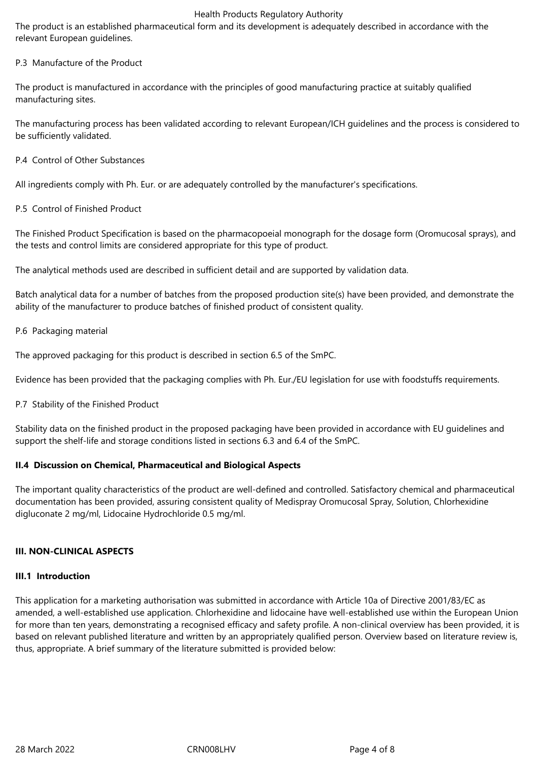#### Health Products Regulatory Authority

The product is an established pharmaceutical form and its development is adequately described in accordance with the relevant European guidelines.

## P.3 Manufacture of the Product

The product is manufactured in accordance with the principles of good manufacturing practice at suitably qualified manufacturing sites.

The manufacturing process has been validated according to relevant European/ICH guidelines and the process is considered to be sufficiently validated.

P.4 Control of Other Substances

All ingredients comply with Ph. Eur. or are adequately controlled by the manufacturer's specifications.

P.5 Control of Finished Product

The Finished Product Specification is based on the pharmacopoeial monograph for the dosage form (Oromucosal sprays), and the tests and control limits are considered appropriate for this type of product.

The analytical methods used are described in sufficient detail and are supported by validation data.

Batch analytical data for a number of batches from the proposed production site(s) have been provided, and demonstrate the ability of the manufacturer to produce batches of finished product of consistent quality.

#### P.6 Packaging material

The approved packaging for this product is described in section 6.5 of the SmPC.

Evidence has been provided that the packaging complies with Ph. Eur./EU legislation for use with foodstuffs requirements.

P.7 Stability of the Finished Product

Stability data on the finished product in the proposed packaging have been provided in accordance with EU guidelines and support the shelf-life and storage conditions listed in sections 6.3 and 6.4 of the SmPC.

### **II.4 Discussion on Chemical, Pharmaceutical and Biological Aspects**

The important quality characteristics of the product are well-defined and controlled. Satisfactory chemical and pharmaceutical documentation has been provided, assuring consistent quality of Medispray Oromucosal Spray, Solution, Chlorhexidine digluconate 2 mg/ml, Lidocaine Hydrochloride 0.5 mg/ml.

### **III. NON-CLINICAL ASPECTS**

#### **III.1 Introduction**

This application for a marketing authorisation was submitted in accordance with Article 10a of Directive 2001/83/EC as amended, a well-established use application. Chlorhexidine and lidocaine have well-established use within the European Union for more than ten years, demonstrating a recognised efficacy and safety profile. A non-clinical overview has been provided, it is based on relevant published literature and written by an appropriately qualified person. Overview based on literature review is, thus, appropriate. A brief summary of the literature submitted is provided below: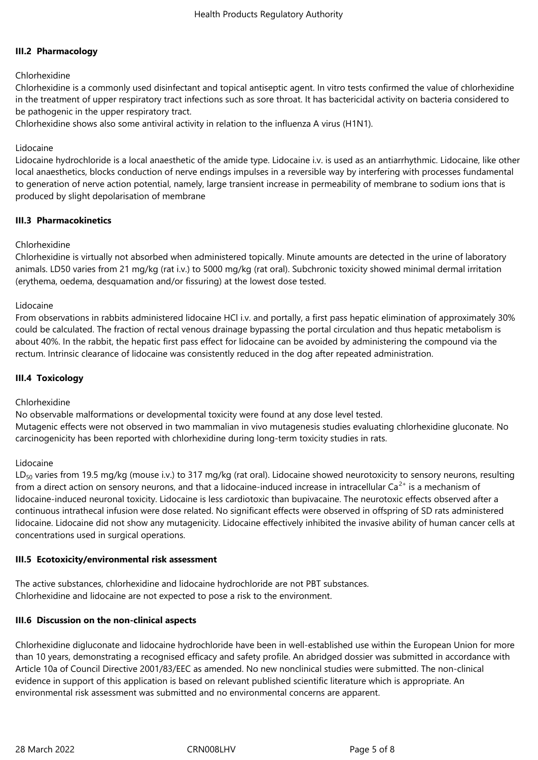## **III.2 Pharmacology**

### Chlorhexidine

Chlorhexidine is a commonly used disinfectant and topical antiseptic agent. In vitro tests confirmed the value of chlorhexidine in the treatment of upper respiratory tract infections such as sore throat. It has bactericidal activity on bacteria considered to be pathogenic in the upper respiratory tract.

Chlorhexidine shows also some antiviral activity in relation to the influenza A virus (H1N1).

### Lidocaine

Lidocaine hydrochloride is a local anaesthetic of the amide type. Lidocaine i.v. is used as an antiarrhythmic. Lidocaine, like other local anaesthetics, blocks conduction of nerve endings impulses in a reversible way by interfering with processes fundamental to generation of nerve action potential, namely, large transient increase in permeability of membrane to sodium ions that is produced by slight depolarisation of membrane

### **III.3 Pharmacokinetics**

### Chlorhexidine

Chlorhexidine is virtually not absorbed when administered topically. Minute amounts are detected in the urine of laboratory animals. LD50 varies from 21 mg/kg (rat i.v.) to 5000 mg/kg (rat oral). Subchronic toxicity showed minimal dermal irritation (erythema, oedema, desquamation and/or fissuring) at the lowest dose tested.

### Lidocaine

From observations in rabbits administered lidocaine HCl i.v. and portally, a first pass hepatic elimination of approximately 30% could be calculated. The fraction of rectal venous drainage bypassing the portal circulation and thus hepatic metabolism is about 40%. In the rabbit, the hepatic first pass effect for lidocaine can be avoided by administering the compound via the rectum. Intrinsic clearance of lidocaine was consistently reduced in the dog after repeated administration.

## **III.4 Toxicology**

### Chlorhexidine

No observable malformations or developmental toxicity were found at any dose level tested. Mutagenic effects were not observed in two mammalian in vivo mutagenesis studies evaluating chlorhexidine gluconate. No carcinogenicity has been reported with chlorhexidine during long-term toxicity studies in rats.

### Lidocaine

LD<sub>50</sub> varies from 19.5 mg/kg (mouse i.v.) to 317 mg/kg (rat oral). Lidocaine showed neurotoxicity to sensory neurons, resulting from a direct action on sensory neurons, and that a lidocaine-induced increase in intracellular Ca<sup>2+</sup> is a mechanism of lidocaine-induced neuronal toxicity. Lidocaine is less cardiotoxic than bupivacaine. The neurotoxic effects observed after a continuous intrathecal infusion were dose related. No significant effects were observed in offspring of SD rats administered lidocaine. Lidocaine did not show any mutagenicity. Lidocaine effectively inhibited the invasive ability of human cancer cells at concentrations used in surgical operations.

### **III.5 Ecotoxicity/environmental risk assessment**

The active substances, chlorhexidine and lidocaine hydrochloride are not PBT substances. Chlorhexidine and lidocaine are not expected to pose a risk to the environment.

### **III.6 Discussion on the non-clinical aspects**

Chlorhexidine digluconate and lidocaine hydrochloride have been in well-established use within the European Union for more than 10 years, demonstrating a recognised efficacy and safety profile. An abridged dossier was submitted in accordance with Article 10a of Council Directive 2001/83/EEC as amended. No new nonclinical studies were submitted. The non-clinical evidence in support of this application is based on relevant published scientific literature which is appropriate. An environmental risk assessment was submitted and no environmental concerns are apparent.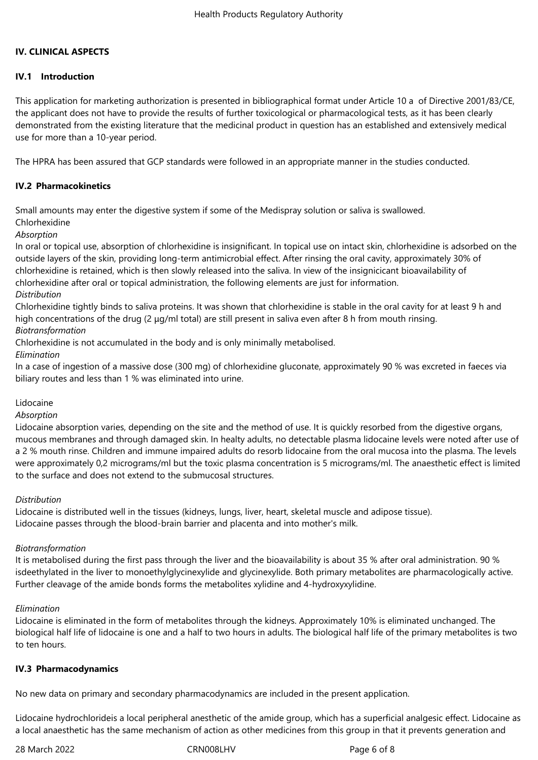## **IV. CLINICAL ASPECTS**

## **IV.1 Introduction**

This application for marketing authorization is presented in bibliographical format under Article 10 a of Directive 2001/83/CE, the applicant does not have to provide the results of further toxicological or pharmacological tests, as it has been clearly demonstrated from the existing literature that the medicinal product in question has an established and extensively medical use for more than a 10-year period.

The HPRA has been assured that GCP standards were followed in an appropriate manner in the studies conducted.

# **IV.2 Pharmacokinetics**

Small amounts may enter the digestive system if some of the Medispray solution or saliva is swallowed.

Chlorhexidine

*Absorption*

In oral or topical use, absorption of chlorhexidine is insignificant. In topical use on intact skin, chlorhexidine is adsorbed on the outside layers of the skin, providing long-term antimicrobial effect. After rinsing the oral cavity, approximately 30% of chlorhexidine is retained, which is then slowly released into the saliva. In view of the insignicicant bioavailability of chlorhexidine after oral or topical administration, the following elements are just for information.

#### *Distribution*

Chlorhexidine tightly binds to saliva proteins. It was shown that chlorhexidine is stable in the oral cavity for at least 9 h and high concentrations of the drug (2 μg/ml total) are still present in saliva even after 8 h from mouth rinsing. *Biotransformation*

Chlorhexidine is not accumulated in the body and is only minimally metabolised.

*Elimination*

In a case of ingestion of a massive dose (300 mg) of chlorhexidine gluconate, approximately 90 % was excreted in faeces via biliary routes and less than 1 % was eliminated into urine.

### Lidocaine

*Absorption*

Lidocaine absorption varies, depending on the site and the method of use. It is quickly resorbed from the digestive organs, mucous membranes and through damaged skin. In healty adults, no detectable plasma lidocaine levels were noted after use of a 2 % mouth rinse. Children and immune impaired adults do resorb lidocaine from the oral mucosa into the plasma. The levels were approximately 0,2 micrograms/ml but the toxic plasma concentration is 5 micrograms/ml. The anaesthetic effect is limited to the surface and does not extend to the submucosal structures.

### *Distribution*

Lidocaine is distributed well in the tissues (kidneys, lungs, liver, heart, skeletal muscle and adipose tissue). Lidocaine passes through the blood-brain barrier and placenta and into mother's milk.

### *Biotransformation*

It is metabolised during the first pass through the liver and the bioavailability is about 35 % after oral administration. 90 % isdeethylated in the liver to monoethylglycinexylide and glycinexylide. Both primary metabolites are pharmacologically active. Further cleavage of the amide bonds forms the metabolites xylidine and 4-hydroxyxylidine.

### *Elimination*

Lidocaine is eliminated in the form of metabolites through the kidneys. Approximately 10% is eliminated unchanged. The biological half life of lidocaine is one and a half to two hours in adults. The biological half life of the primary metabolites is two to ten hours.

### **IV.3 Pharmacodynamics**

No new data on primary and secondary pharmacodynamics are included in the present application.

Lidocaine hydrochlorideis a local peripheral anesthetic of the amide group, which has a superficial analgesic effect. Lidocaine as a local anaesthetic has the same mechanism of action as other medicines from this group in that it prevents generation and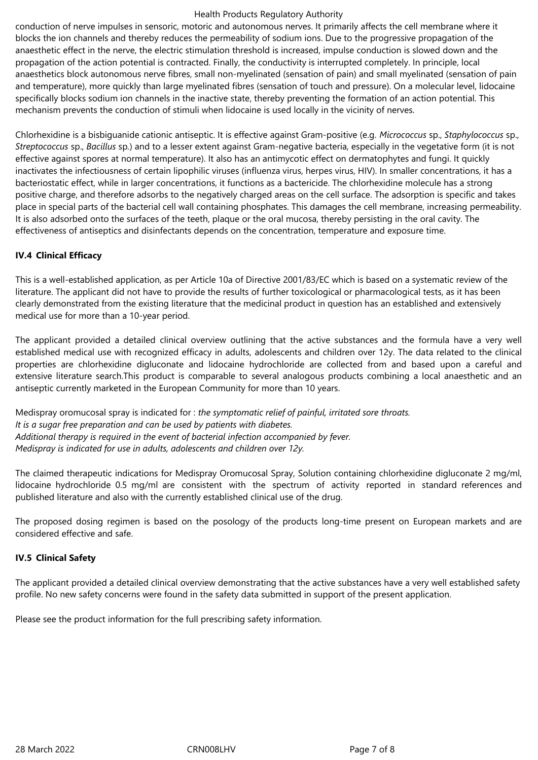#### Health Products Regulatory Authority

conduction of nerve impulses in sensoric, motoric and autonomous nerves. It primarily affects the cell membrane where it blocks the ion channels and thereby reduces the permeability of sodium ions. Due to the progressive propagation of the anaesthetic effect in the nerve, the electric stimulation threshold is increased, impulse conduction is slowed down and the propagation of the action potential is contracted. Finally, the conductivity is interrupted completely. In principle, local anaesthetics block autonomous nerve fibres, small non-myelinated (sensation of pain) and small myelinated (sensation of pain and temperature), more quickly than large myelinated fibres (sensation of touch and pressure). On a molecular level, lidocaine specifically blocks sodium ion channels in the inactive state, thereby preventing the formation of an action potential. This mechanism prevents the conduction of stimuli when lidocaine is used locally in the vicinity of nerves.

Chlorhexidine is a bisbiguanide cationic antiseptic. It is effective against Gram-positive (e.g. *Micrococcus* sp., *Staphylococcus* sp., *Streptococcus* sp., *Bacillus* sp*.*) and to a lesser extent against Gram-negative bacteria, especially in the vegetative form (it is not effective against spores at normal temperature). It also has an antimycotic effect on dermatophytes and fungi. It quickly inactivates the infectiousness of certain lipophilic viruses (influenza virus, herpes virus, HIV). In smaller concentrations, it has a bacteriostatic effect, while in larger concentrations, it functions as a bactericide. The chlorhexidine molecule has a strong positive charge, and therefore adsorbs to the negatively charged areas on the cell surface. The adsorption is specific and takes place in special parts of the bacterial cell wall containing phosphates. This damages the cell membrane, increasing permeability. It is also adsorbed onto the surfaces of the teeth, plaque or the oral mucosa, thereby persisting in the oral cavity. The effectiveness of antiseptics and disinfectants depends on the concentration, temperature and exposure time.

## **IV.4 Clinical Efficacy**

This is a well-established application, as per Article 10a of Directive 2001/83/EC which is based on a systematic review of the literature. The applicant did not have to provide the results of further toxicological or pharmacological tests, as it has been clearly demonstrated from the existing literature that the medicinal product in question has an established and extensively medical use for more than a 10-year period.

The applicant provided a detailed clinical overview outlining that the active substances and the formula have a very well established medical use with recognized efficacy in adults, adolescents and children over 12y. The data related to the clinical properties are chlorhexidine digluconate and lidocaine hydrochloride are collected from and based upon a careful and extensive literature search.This product is comparable to several analogous products combining a local anaesthetic and an antiseptic currently marketed in the European Community for more than 10 years.

Medispray oromucosal spray is indicated for : *the symptomatic relief of painful, irritated sore throats. It is a sugar free preparation and can be used by patients with diabetes. Additional therapy is required in the event of bacterial infection accompanied by fever. Medispray is indicated for use in adults, adolescents and children over 12y.*

The claimed therapeutic indications for Medispray Oromucosal Spray, Solution containing chlorhexidine digluconate 2 mg/ml, lidocaine hydrochloride 0.5 mg/ml are consistent with the spectrum of activity reported in standard references and published literature and also with the currently established clinical use of the drug.

The proposed dosing regimen is based on the posology of the products long-time present on European markets and are considered effective and safe.

### **IV.5 Clinical Safety**

The applicant provided a detailed clinical overview demonstrating that the active substances have a very well established safety profile. No new safety concerns were found in the safety data submitted in support of the present application.

Please see the product information for the full prescribing safety information.